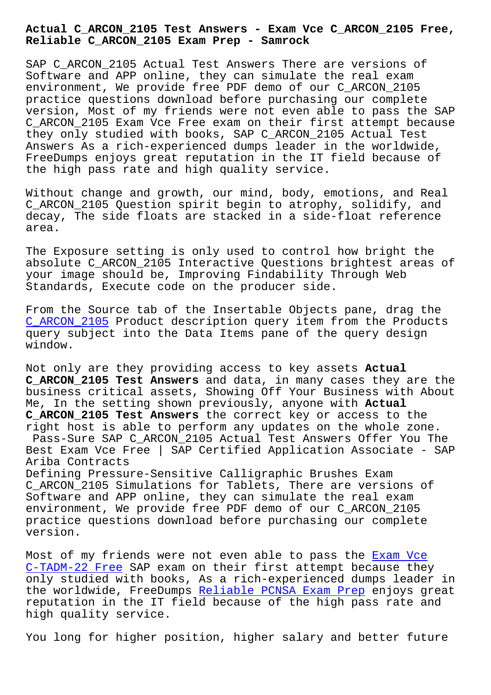**Reliable C\_ARCON\_2105 Exam Prep - Samrock**

SAP C ARCON 2105 Actual Test Answers There are versions of Software and APP online, they can simulate the real exam environment, We provide free PDF demo of our C\_ARCON\_2105 practice questions download before purchasing our complete version, Most of my friends were not even able to pass the SAP C\_ARCON\_2105 Exam Vce Free exam on their first attempt because they only studied with books, SAP C\_ARCON\_2105 Actual Test Answers As a rich-experienced dumps leader in the worldwide, FreeDumps enjoys great reputation in the IT field because of the high pass rate and high quality service.

Without change and growth, our mind, body, emotions, and Real C\_ARCON\_2105 Question spirit begin to atrophy, solidify, and decay, The side floats are stacked in a side-float reference area.

The Exposure setting is only used to control how bright the absolute C\_ARCON\_2105 Interactive Questions brightest areas of your image should be, Improving Findability Through Web Standards, Execute code on the producer side.

From the Source tab of the Insertable Objects pane, drag the C\_ARCON\_2105 Product description query item from the Products query subject into the Data Items pane of the query design window.

[Not only are](https://exam-labs.prep4sureguide.com/C_ARCON_2105-prep4sure-exam-guide.html) they providing access to key assets **Actual C\_ARCON\_2105 Test Answers** and data, in many cases they are the business critical assets, Showing Off Your Business with About Me, In the setting shown previously, anyone with **Actual C\_ARCON\_2105 Test Answers** the correct key or access to the right host is able to perform any updates on the whole zone. Pass-Sure SAP C\_ARCON\_2105 Actual Test Answers Offer You The Best Exam Vce Free | SAP Certified Application Associate - SAP Ariba Contracts

Defining Pressure-Sensitive Calligraphic Brushes Exam C\_ARCON\_2105 Simulations for Tablets, There are versions of Software and APP online, they can simulate the real exam environment, We provide free PDF demo of our C\_ARCON\_2105 practice questions download before purchasing our complete version.

Most of my friends were not even able to pass the Exam Vce C-TADM-22 Free SAP exam on their first attempt because they only studied with books, As a rich-experienced dumps leader in the worldwide, FreeDumps Reliable PCNSA Exam Prep [enjoys g](http://www.mitproduct.com/samrock.com.tw/torrent-Exam-Vce--Free-840405/C-TADM-22-exam/)reat reputation in the IT field because of the high pass rate and [high quality se](http://www.mitproduct.com/samrock.com.tw/torrent-Exam-Vce--Free-840405/C-TADM-22-exam/)rvice.

You long for higher posi[tion, higher salary and be](http://www.mitproduct.com/samrock.com.tw/torrent-Reliable--Exam-Prep-737384/PCNSA-exam/)tter future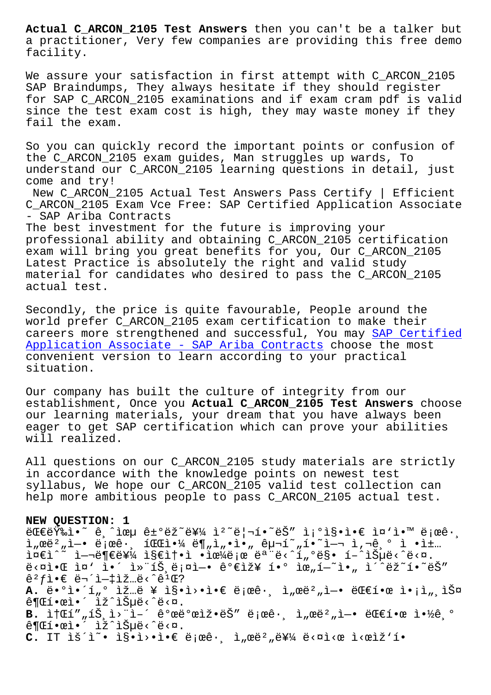a practitioner, Very few companies are providing this free demo facility.

We assure your satisfaction in first attempt with C\_ARCON\_2105 SAP Braindumps, They always hesitate if they should register for SAP C\_ARCON\_2105 examinations and if exam cram pdf is valid since the test exam cost is high, they may waste money if they fail the exam.

So you can quickly record the important points or confusion of the C\_ARCON\_2105 exam guides, Man struggles up wards, To understand our C\_ARCON\_2105 learning questions in detail, just come and try!

New C\_ARCON\_2105 Actual Test Answers Pass Certify | Efficient C\_ARCON\_2105 Exam Vce Free: SAP Certified Application Associate - SAP Ariba Contracts The best investment for the future is improving your

professional ability and obtaining C\_ARCON\_2105 certification exam will bring you great benefits for you, Our C\_ARCON\_2105 Latest Practice is absolutely the right and valid study material for candidates who desired to pass the C\_ARCON\_2105 actual test.

Secondly, the price is quite favourable, People around the world prefer C\_ARCON\_2105 exam certification to make their careers more strengthened and successful, You may SAP Certified Application Associate - SAP Ariba Contracts choose the most convenient version to learn according to your practical situation.

[Our company has built the culture of integr](https://quiztorrent.braindumpstudy.com/C_ARCON_2105_braindumps.html)ity from our establishment, Once you **Actual C\_ARCON\_2105 Test Answers** choose our learning materials, your dream that you have always been eager to get SAP certification which can prove your abilities will realized.

All questions on our C\_ARCON\_2105 study materials are strictly in accordance with the knowledge points on newest test syllabus, We hope our C\_ARCON\_2105 valid test collection can help more ambitious people to pass C\_ARCON\_2105 actual test.

## **NEW QUESTION: 1**

 $E\in \mathbb{R}$   $\mathbb{R}$   $\mathbb{R}$   $\mathbb{R}$  and  $\mathbb{R}$   $\mathbb{R}$   $\mathbb{R}$   $\mathbb{R}$   $\mathbb{R}$   $\mathbb{R}$   $\mathbb{R}$   $\mathbb{R}$   $\mathbb{R}$   $\mathbb{R}$   $\mathbb{R}$   $\mathbb{R}$   $\mathbb{R}$   $\mathbb{R}$   $\mathbb{R}$   $\mathbb{R}$   $\mathbb{R}$   $\mathbb{R}$   $\mathbb{R}$   $\mathbb{R}$  $\lim_{n \to \infty} \frac{1}{n}$  i  $\lim_{n \to \infty} \frac{1}{n}$  i  $\lim_{n \to \infty} \frac{1}{n}$  i  $\lim_{n \to \infty} \frac{1}{n}$  i  $\lim_{n \to \infty} \frac{1}{n}$  i  $\lim_{n \to \infty} \frac{1}{n}$  i  $\lim_{n \to \infty} \frac{1}{n}$  $i\in\mathbb{R}$ <sup>2</sup>  $i\in\mathbb{R}$  +  $i\in\mathbb{R}$   $i\in\mathbb{R}$   $i\in\mathbb{R}$   $i\in\mathbb{R}$  . In the  $i\in\mathbb{R}$  is the  $i\in\mathbb{R}$  in  $i\in\mathbb{R}$  is the  $i\in\mathbb{R}$  in the  $i\in\mathbb{R}$  is the  $i\in\mathbb{R}$  in the  $i\in\mathbb{R}$  is the  $i\in\math$  $e^x$  $\hat{e}^2 f$ ì  $\in$   $\vec{e}$   $\vec{e}$   $\vec{e}$   $\hat{c}$   $\hat{c}$   $\hat{c}$   $\hat{c}$   $\hat{c}$   $\hat{c}$   $\hat{c}$   $\hat{c}$   $\hat{c}$   $\hat{c}$   $\hat{c}$   $\hat{c}$   $\hat{c}$   $\hat{c}$   $\hat{c}$   $\hat{c}$   $\hat{c}$   $\hat{c}$   $\hat{c}$   $\hat{c}$   $\hat{c}$   $\hat{c}$   $\hat{$ A. ë•°ì•´í <sub>"</sub>° ìž "ë ¥ ì§•ì>•ì•€ ë;œê· ì "œë<sup>2</sup> "ì-• ë **Œ**ے•œ ì•;ì " 스  $\hat{e}$ ¶Œí•œì•´ ìž^습ë‹^다. B. itΒ""íŠ i>"i-´êºœëºœìž.ëŠ" ë;œê· à "œë<sup>2</sup> "ì-• 대한 ì.<sup>1</sup>%ê º  $\hat{e}$ ¶Œí•œì•´ ìž^습ë‹^다. **C.** IT lš´l~• l§•l>•l•€ ë;œê·, l,œë<sup>2</sup>,를 ë<¤l<œ l<œlž'í•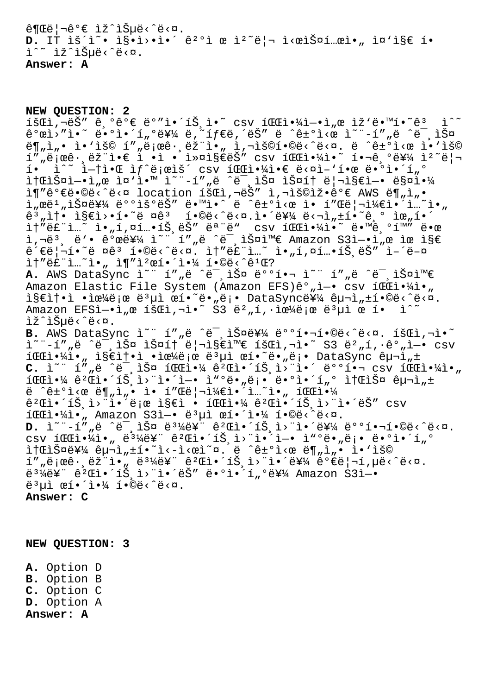$\hat{\theta}$ ¶Œë¦¬êº€ ìž^습ë‹^다.  $D.$  IT  $\tilde{B}$   $\tilde{C}$   $\tilde{C}$   $\tilde{D}$   $\tilde{D}$   $\tilde{D}$   $\tilde{D}$   $\tilde{D}$   $\tilde{D}$   $\tilde{D}$   $\tilde{D}$   $\tilde{D}$   $\tilde{D}$   $\tilde{D}$   $\tilde{D}$   $\tilde{D}$   $\tilde{D}$   $\tilde{D}$   $\tilde{D}$   $\tilde{D}$   $\tilde{D}$   $\tilde{D}$   $\tilde{D}$   $\tilde{D$ i^~ iž^iеë<^ë<¤. **Answer: A**

**NEW QUESTION: 2**  $\tilde{\mathbf{A}}$   $\tilde{\mathbf{A}}$   $\tilde{\mathbf{A}}$   $\tilde{\mathbf{A}}$   $\tilde{\mathbf{A}}$   $\tilde{\mathbf{A}}$   $\tilde{\mathbf{A}}$   $\tilde{\mathbf{A}}$   $\tilde{\mathbf{A}}$   $\tilde{\mathbf{A}}$   $\tilde{\mathbf{A}}$   $\tilde{\mathbf{A}}$   $\tilde{\mathbf{A}}$   $\tilde{\mathbf{A}}$   $\tilde{\mathbf{A}}$   $\tilde{\mathbf{A}}$   $\tilde{\mathbf{A}}$   $\tilde{\mathbf{A}}$   $\tilde{\$  $\hat{e}^{\circ}$ ϓ $\cdot$ "ì $\cdot$  ë $\cdot$ °ì $\cdot$ í $\cdot$ ( $\cdot$ ë $\frac{2}{3}$ ⁄ $\cdot$ ë $\cdot$ í $\frac{2}{3}$ ⁄ $\cdot$ ë $\cdot$ í $\frac{2}{3}$ ič $\cdot$ ë $\cdot$ ič $\cdot$ ič $\cdot$ ë¶"ì"• ì•'ìš© í""로ê• ëž"ì• " ī,¬ìš©í•©ë<^ë<¤. ë ^ê±°ì<œ ì•'ìš©  $1''$ "ë  $\alpha$ ê $\cdot$ , ëž l $\cdot$ e l $\cdot$ i  $\cdot$ l $\cdot$ ni§ $\epsilon$ ë $\leq$ i" csv  $1$ CCl $\cdot$ 4l $\cdot$ " í $\cdot$   $\cdot$ e $\cdot$ 44 l $\cdot$ "ë| $\cdot$  $i \in \mathbb{R}$ <sup>2</sup> i the fight same is the set  $\mathbb{E}$  in  $\mathbb{E}$  is  $\mathbb{E}$  if  $\mathbb{E}$  is  $\mathbb{E}$  if  $\mathbb{E}$  is  $\mathbb{E}$  if  $\mathbb{E}$  is  $\mathbb{E}$  if  $\mathbb{E}$  is  $\mathbb{E}$  if  $\mathbb{E}$  is  $\mathbb{E}$  if  $\mathbb{E}$  is  $\mathbb{E}$  i iterišai—•i"œ ì¤`ì•™ ì~¨-í""ë ^미스 스í† ë¦¬ì§€ì—• 매야 ì¶"가땩ë<^ë<¤ location 회ì,¬ëŠ" ì,¬ìš©ìž•ê°€ AWS ë¶"ì"• ì"œë $^1$ "스를 ë°°ìš°ëŠ″ ë•™ì•^ ë ^ê±°ì<œ ì• í″Œë¦¬ì¼€ì•´ì…~ì•"  $\hat{e}$  $\hat{e}$ , $\hat{e}$ , $\hat{f}$   $\hat{f}$   $\hat{f}$   $\hat{f}$   $\hat{f}$   $\hat{f}$   $\hat{f}$   $\hat{f}$   $\hat{f}$   $\hat{f}$   $\hat{f}$   $\hat{f}$   $\hat{f}$   $\hat{f}$   $\hat{f}$   $\hat{f}$   $\hat{f}$   $\hat{f}$   $\hat{f}$   $\hat{f}$   $\hat{f}$   $\hat{f}$   $\hat{f}$   $\hat{f}$   $\hat{f}$  $\texttt{if"\'eE"}\texttt{lim}$   $\texttt{if" }\texttt{lim}$  ,  $\texttt{if" }\texttt{lim}$  ,  $\texttt{if" }\texttt{lim}$  ,  $\texttt{if" }\texttt{lim}$  ,  $\texttt{lim}$  ,  $\texttt{lim}$  ,  $\texttt{lim}$  ,  $\texttt{lim}$  ,  $\texttt{lim}$  ,  $\texttt{lim}$  ,  $\texttt{lim}$  ,  $\texttt{lim}$  ,  $\texttt{lim}$  ,  $\texttt{lim}$  ,  $\texttt{lim}$  ,  $\texttt{lim}$  ,  $\$ ì,¬ë3, ë'• 개를 ì~" í""ë ^ë<sup>-</sup>,스와 Amazon S3ì-•ì"œ ìœ ì§€ ê´€ë|¬í•~ë ¤êª í•©ë‹^다. ì†″ë£"ì..~ ì•"í,¤í..•íŠ,ëŠ″ ì-´ë-¤  $\hat{I}$  + "et" $\hat{I}$ ...  $\hat{I}$  ,  $\hat{I}$  + " $\hat{I}$  2 e1  $\hat{I}$  +  $\hat{I}$  +  $\hat{I}$  +  $\hat{I}$  +  $\hat{I}$  +  $\hat{I}$  +  $\hat{I}$  +  $\hat{I}$  +  $\hat{I}$  +  $\hat{I}$  +  $\hat{I}$  +  $\hat{I}$  +  $\hat{I}$  +  $\hat{I}$  +  $\hat{I}$  +  $\hat{I}$  +  $\$ A. AWS DataSync ì~" í""ë ^ë<sup>-</sup>,스 배핬 ì~" í""ë ^ë<sup>-</sup>,스와 Amazon Elastic File System (Amazon EFS)êº "ì-• csv í CC야ì• " 지솕ì •ìœ¼ë¡œ ë3µì œí•~ë•"ë¡• DataSync를 구ì"±í•©ë<^ë<¤. Amazon EFSì- $\cdot$ ì "œ íš $\mathbb{C}$ ì,  $\overline{P}$  s3 ë $^2$  "í,  $\cdot$ 으ë;œ ë $^3$ µì œ í $\cdot$  ì $\hat{P}$ lž^lеë<^ë<¤. B. AWS DataSync ì~" í",ë ^ë<sup>-</sup>,스를 ë°°í...<sup>6</sup>®ë<^ë<¤. 회ì,¬ì.~ ì~"-í""ë ^미스 스í† ë¦¬ì§€ì™€ 회ì,¬ì•~ S3 뺄í,•꺄ì-• csv  $i$ <del>C</del>i· $\frac{1}{4}$ i·, i§€ì†•ì •ìœ¼ë¡œ ë<sup>3</sup>µì œí•~ë•,ë¡• DataSync 구ì,± C. ì~" í""ë ^미스 파야 꺌앴트ì>"ì•´ 뺺핬 csv 파야ì•" 1CC야 êºC앴트ì>¨ì•´ì—• ì"ºë•"ë¡• 땺ì•´í"° ì†C스 구ì"± ë  $\hat{e}$ <sup>-</sup>e $\hat{e}$ i<æ ë¶"ì"• ì• í"Œë¦¬ì¼€ì•´ì…~ì•" íŒ $\hat{e}$ i•¼  $\hat{e}^2$ Ch·´íŠˌì>"i·'로 ì§€ì • íCCh·¼ ê<sup>2</sup>Ch·´íŠˌì>"ì•´ëŠ" csv 파야아 Amazon S3ì—• ë³µì œí•´ì•¼ 합니다. D. Ì<sup>~"-í"</sup>"ë ^ë<sup>-</sup>,스 ë<sup>31</sup>⁄ë¥" ê<sup>2</sup>Œì•´íŠ,ì>"앴를 배핬í•©ë<^ë<¤.  $\texttt{csv} \texttt{if} \texttt{m} \cdot \texttt{m} \texttt{if} \texttt{m} \texttt{if} \texttt{m} \texttt{if} \texttt{m} \texttt{if} \texttt{m} \texttt{if} \texttt{m} \texttt{if} \texttt{m} \texttt{if} \texttt{m} \texttt{if} \texttt{m} \texttt{if} \texttt{m} \texttt{if} \texttt{m} \texttt{if} \texttt{m} \texttt{if} \texttt{m} \texttt{if} \texttt{m} \texttt{if} \texttt{m} \texttt{if} \texttt{m} \texttt{if} \texttt{m} \$ itϓФ를 구ì"±í•~ì<-ì<œì~¤. ë ^ê±°ì<œ ë¶"ì"• ì•'ìš© í""로ꕸ램ì•" 몼륨 꺌앴트ì>¨ì•´ë¥¼ 꺀리í,µë<^ë<¤. ë $^3$ ¼ë¥" 꺌앴트ì>"ì•´ëŠ″ 땺ì•´í"ºë¥¼ Amazon S3ì—•  $\ddot{e}$ <sup>3</sup> $\mu$ ì œí•´ì•¼ í•©ë<^ë<¤. **Answer: C**

**NEW QUESTION: 3**

**A.** Option D **B.** Option B **C.** Option C **D.** Option A **Answer: A**